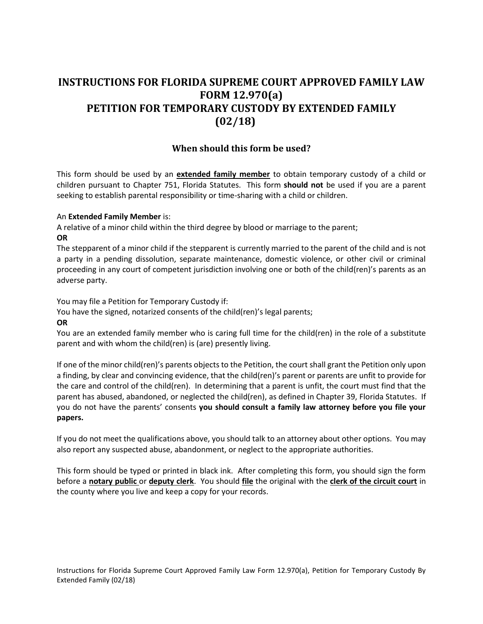# **FORM 12.970(a) FORM 12.970(a)**<br>PETITION FOR TEMPORARY CUSTODY BY EXTENDED FAMILY **INSTRUCTIONS FOR FLORIDA SUPREME COURT APPROVED FAMILY LAW (02/18)**

### **When should this form be used?**

 This form should be used by an **extended family member** to obtain temporary custody of a child or children pursuant to Chapter 751, Florida Statutes. This form **should not** be used if you are a parent seeking to establish parental responsibility or time-sharing with a child or children.

### An **Extended Family Member** is:

 A relative of a minor child within the third degree by blood or marriage to the parent; **OR** 

 The stepparent of a minor child if the stepparent is currently married to the parent of the child and is not a party in a pending dissolution, separate maintenance, domestic violence, or other civil or criminal proceeding in any court of competent jurisdiction involving one or both of the child(ren)'s parents as an adverse party.

You may file a Petition for Temporary Custody if:

You have the signed, notarized consents of the child(ren)'s legal parents;

#### **OR**

 You are an extended family member who is caring full time for the child(ren) in the role of a substitute parent and with whom the child(ren) is (are) presently living.

 If one of the minor child(ren)'s parents objects to the Petition, the court shall grant the Petition only upon a finding, by clear and convincing evidence, that the child(ren)'s parent or parents are unfit to provide for the care and control of the child(ren). In determining that a parent is unfit, the court must find that the parent has abused, abandoned, or neglected the child(ren), as defined in Chapter 39, Florida Statutes. If you do not have the parents' consents **you should consult a family law attorney before you file your papers.** 

 If you do not meet the qualifications above, you should talk to an attorney about other options. You may also report any suspected abuse, abandonment, or neglect to the appropriate authorities.

 This form should be typed or printed in black ink. After completing this form, you should sign the form before a **notary public** or **deputy clerk**. You should **file** the original with the **clerk of the circuit court** in the county where you live and keep a copy for your records.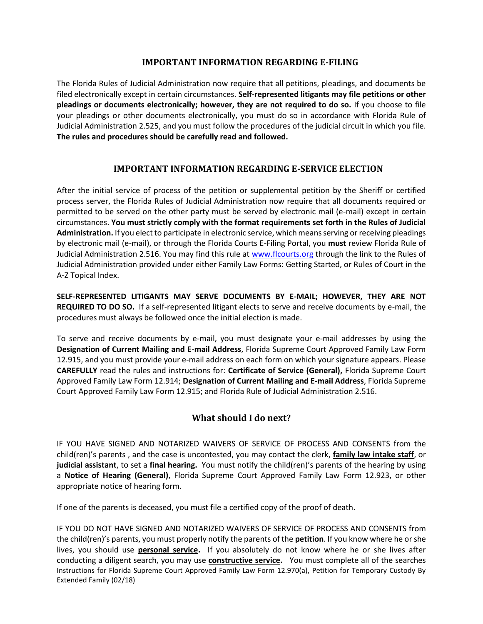### **IMPORTANT INFORMATION REGARDING E-FILING**

 The Florida Rules of Judicial Administration now require that all petitions, pleadings, and documents be  **pleadings or documents electronically; however, they are not required to do so.** If you choose to file your pleadings or other documents electronically, you must do so in accordance with Florida Rule of Judicial Administration 2.525, and you must follow the procedures of the judicial circuit in which you file. filed electronically except in certain circumstances. **Self-represented litigants may file petitions or other The rules and procedures should be carefully read and followed.** 

### **IMPORTANT INFORMATION REGARDING E-SERVICE ELECTION**

 After the initial service of process of the petition or supplemental petition by the Sheriff or certified process server, the Florida Rules of Judicial Administration now require that all documents required or permitted to be served on the other party must be served by electronic mail (e-mail) except in certain  circumstances. **You must strictly comply with the format requirements set forth in the Rules of Judicial Administration.** If you elect to participate in electronic service, which means serving or receiving pleadings by electronic mail (e-mail), or through the Florida Courts E-Filing Portal, you **must** review Florida Rule of Judicial Administration 2.516. You may find this rule at [www.flcourts.org](http://www.flcourts.org/) through the link to the Rules of Judicial Administration provided under either Family Law Forms: Getting Started, or Rules of Court in the A-Z Topical Index.

 **SELF-REPRESENTED LITIGANTS MAY SERVE DOCUMENTS BY E-MAIL; HOWEVER, THEY ARE NOT REQUIRED TO DO SO.** If a self-represented litigant elects to serve and receive documents by e-mail, the procedures must always be followed once the initial election is made.

 To serve and receive documents by e-mail, you must designate your e-mail addresses by using the  **Designation of Current Mailing and E-mail Address**, Florida Supreme Court Approved Family Law Form 12.915, and you must provide your e-mail address on each form on which your signature appears. Please **CAREFULLY** read the rules and instructions for: **Certificate of Service (General),** Florida Supreme Court Approved Family Law Form 12.914; **Designation of Current Mailing and E-mail Address**, Florida Supreme Court Approved Family Law Form 12.915; and Florida Rule of Judicial Administration 2.516.

### **What should I do next?**

 IF YOU HAVE SIGNED AND NOTARIZED WAIVERS OF SERVICE OF PROCESS AND CONSENTS from the  child(ren)'s parents , and the case is uncontested, you may contact the clerk, **family law intake staff**, or **judicial assistant**, to set a **final hearing.** You must notify the child(ren)'s parents of the hearing by using  a **Notice of Hearing (General)**, Florida Supreme Court Approved Family Law Form 12.923, or other appropriate notice of hearing form.

If one of the parents is deceased, you must file a certified copy of the proof of death.

 Instructions for Florida Supreme Court Approved Family Law Form 12.970(a), Petition for Temporary Custody By IF YOU DO NOT HAVE SIGNED AND NOTARIZED WAIVERS OF SERVICE OF PROCESS AND CONSENTS from lives, you should use **personal service.** If you absolutely do not know where he or she lives after conducting a diligent search, you may use **constructive service.** You must complete all of the searches the child(ren)'s parents, you must properly notify the parents of the **petition**. If you know where he or she Extended Family (02/18)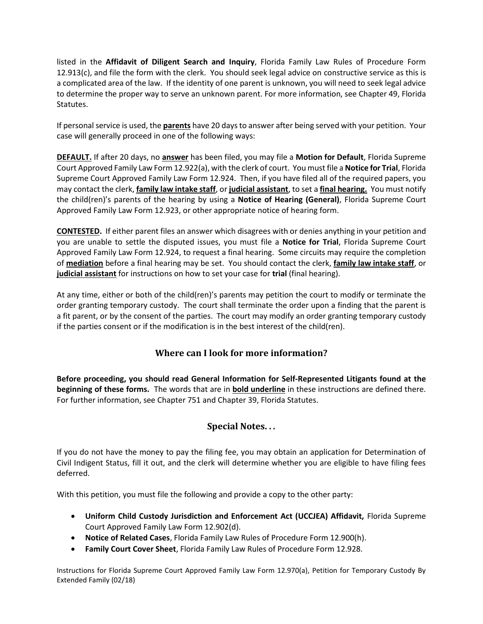listed in the **Affidavit of Diligent Search and Inquiry**, Florida Family Law Rules of Procedure Form 12.913(c), and file the form with the clerk. You should seek legal advice on constructive service as this is a complicated area of the law. If the identity of one parent is unknown, you will need to seek legal advice to determine the proper way to serve an unknown parent. For more information, see Chapter 49, Florida Statutes.

 If personal service is used, the **parents** have 20 days to answer after being served with your petition. Your case will generally proceed in one of the following ways:

 **DEFAULT.** If after 20 days, no **answer** has been filed, you may file a **Motion for Default**, Florida Supreme Court Approved Family Law Form 12.922(a), with the clerk of court. You must file a **Notice for Trial**, Florida Supreme Court Approved Family Law Form 12.924. Then, if you have filed all of the required papers, you may contact the clerk, **family law intake staff**, or **judicial assistant**, to set a **final hearing.** You must notify the child(ren)'s parents of the hearing by using a **Notice of Hearing (General)**, Florida Supreme Court Approved Family Law Form 12.923, or other appropriate notice of hearing form.

 **CONTESTED.** If either parent files an answer which disagrees with or denies anything in your petition and you are unable to settle the disputed issues, you must file a **Notice for Trial**, Florida Supreme Court Approved Family Law Form 12.924, to request a final hearing. Some circuits may require the completion of **mediation** before a final hearing may be set. You should contact the clerk, **family law intake staff**, or **judicial assistant** for instructions on how to set your case for **trial** (final hearing).

 At any time, either or both of the child(ren)'s parents may petition the court to modify or terminate the order granting temporary custody. The court shall terminate the order upon a finding that the parent is a fit parent, or by the consent of the parties. The court may modify an order granting temporary custody if the parties consent or if the modification is in the best interest of the child(ren).

# **Where can I look for more information?**

 **Before proceeding, you should read General Information for Self-Represented Litigants found at the beginning of these forms.** The words that are in **bold underline** in these instructions are defined there. For further information, see Chapter 751 and Chapter 39, Florida Statutes.

# **Special Notes. .** *.*

 If you do not have the money to pay the filing fee, you may obtain an application for Determination of Civil Indigent Status, fill it out, and the clerk will determine whether you are eligible to have filing fees deferred.

With this petition, you must file the following and provide a copy to the other party:

- **Uniform Child Custody Jurisdiction and Enforcement Act (UCCJEA) Affidavit,** Florida Supreme Court Approved Family Law Form 12.902(d).
- **Notice of Related Cases**, Florida Family Law Rules of Procedure Form 12.900(h).
- **Family Court Cover Sheet**, Florida Family Law Rules of Procedure Form 12.928.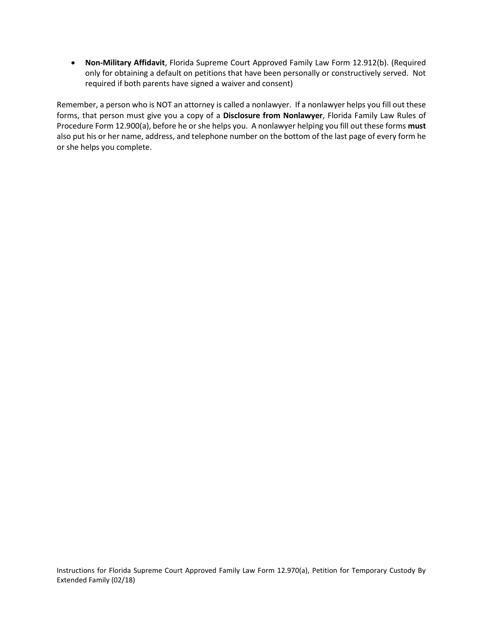**Non-Military Affidavit**, Florida Supreme Court Approved Family Law Form 12.912(b). (Required only for obtaining a default on petitions that have been personally or constructively served. Not required if both parents have signed a waiver and consent)

 Remember, a person who is NOT an attorney is called a nonlawyer. If a nonlawyer helps you fill out these forms, that person must give you a copy of a **Disclosure from Nonlawyer**, Florida Family Law Rules of Procedure Form 12.900(a), before he or she helps you. A nonlawyer helping you fill out these forms **must**  also put his or her name, address, and telephone number on the bottom of the last page of every form he or she helps you complete. or she helps you complete. Instructions for Florida Supreme Court Approved Family Law Form 12.970(a), Petition for Temporary Custody By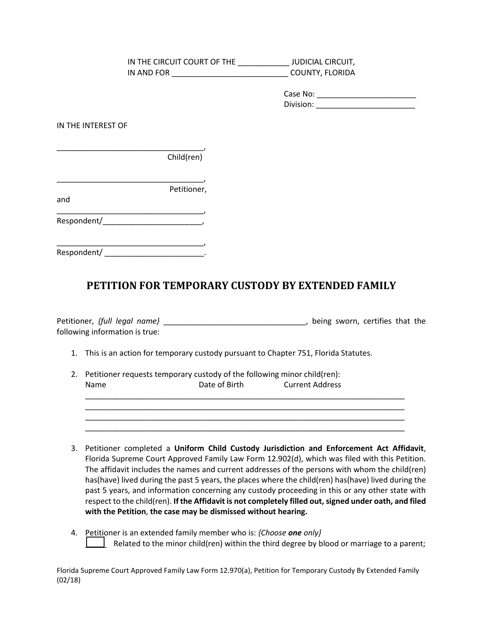IN THE CIRCUIT COURT OF THE \_\_\_\_\_\_\_\_\_\_\_\_ JUDICIAL CIRCUIT, IN AND FOR \_\_\_\_\_\_\_\_\_\_\_\_\_\_\_\_\_\_\_\_\_\_\_\_\_\_\_ COUNTY, FLORIDA

> Case No: \_\_\_\_\_\_\_\_\_\_\_\_\_\_\_\_\_\_\_\_\_\_\_ Division: \_\_\_\_\_\_\_\_\_\_\_\_\_\_\_\_\_\_\_\_\_\_\_

IN THE INTEREST OF

|             | Child(ren)  |
|-------------|-------------|
|             | Petitioner, |
| and         |             |
| Respondent/ |             |
| Respondent/ |             |

# **PETITION FOR TEMPORARY CUSTODY BY EXTENDED FAMILY**

 Petitioner, *{full legal name}* \_\_\_\_\_\_\_\_\_\_\_\_\_\_\_\_\_\_\_\_\_\_\_\_\_\_\_\_\_\_\_\_\_, being sworn, certifies that the following information is true:

\_\_\_\_\_\_\_\_\_\_\_\_\_\_\_\_\_\_\_\_\_\_\_\_\_\_\_\_\_\_\_\_\_\_\_\_\_\_\_\_\_\_\_\_\_\_\_\_\_\_\_\_\_\_\_\_\_\_\_\_\_\_\_\_\_\_\_\_\_\_\_\_\_\_

\_\_\_\_\_\_\_\_\_\_\_\_\_\_\_\_\_\_\_\_\_\_\_\_\_\_\_\_\_\_\_\_\_\_\_\_\_\_\_\_\_\_\_\_\_\_\_\_\_\_\_\_\_\_\_\_\_\_\_\_\_\_\_\_\_\_\_\_\_\_\_\_\_\_

\_\_\_\_\_\_\_\_\_\_\_\_\_\_\_\_\_\_\_\_\_\_\_\_\_\_\_\_\_\_\_\_\_\_\_\_\_\_\_\_\_\_\_\_\_\_\_\_\_\_\_\_\_\_\_\_\_\_\_\_\_\_\_\_\_\_\_\_\_\_\_\_\_\_

- 1. This is an action for temporary custody pursuant to Chapter 751, Florida Statutes.
- Name 2. Petitioner requests temporary custody of the following minor child(ren): Date of Birth Current Address

| 3. Petitioner completed a Uniform Child Custody Jurisdiction and Enforcement Act Affidavit,            |
|--------------------------------------------------------------------------------------------------------|
| Florida Supreme Court Approved Family Law Form 12.902(d), which was filed with this Petition.          |
| The affidavit includes the names and current addresses of the persons with whom the child(ren)         |
| has (have) lived during the past 5 years, the places where the child (ren) has (have) lived during the |
| past 5 years, and information concerning any custody proceeding in this or any other state with        |
| respect to the child(ren). If the Affidavit is not completely filled out, signed under oath, and filed |
| with the Petition, the case may be dismissed without hearing.                                          |

 4. Petitioner is an extended family member who is: *{Choose one only}*   $\Box$  Related to the minor child(ren) within the third degree by blood or marriage to a parent;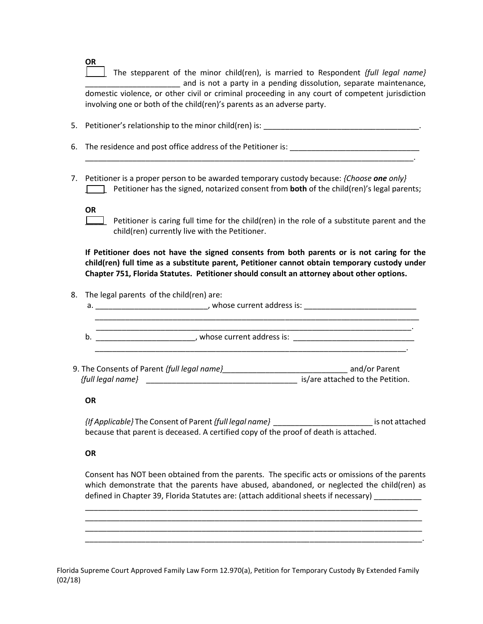\_\_\_\_\_ The stepparent of the minor child(ren), is married to Respondent *{full legal name}*  \_\_\_\_\_\_\_\_\_\_\_\_\_\_\_\_\_\_\_\_\_\_ and is not a party in a pending dissolution, separate maintenance, domestic violence, or other civil or criminal proceeding in any court of competent jurisdiction involving one or both of the child(ren)'s parents as an adverse party. **OR** 

|  | 5. Petitioner's relationship to the minor child(ren) is: |  |
|--|----------------------------------------------------------|--|
|--|----------------------------------------------------------|--|

6. The residence and post office address of the Petitioner is:

 7. Petitioner is a proper person to be awarded temporary custody because: *{Choose one only}*  \_\_\_\_\_ Petitioner has the signed, notarized consent from **both** of the child(ren)'s legal parents;

\_\_\_\_\_\_\_\_\_\_\_\_\_\_\_\_\_\_\_\_\_\_\_\_\_\_\_\_\_\_\_\_\_\_\_\_\_\_\_\_\_\_\_\_\_\_\_\_\_\_\_\_\_\_\_\_\_\_\_\_\_\_\_\_\_\_\_\_\_\_\_\_\_\_\_\_.

### **OR**

**The Petitioner is caring full time for the child(ren) in the role of a substitute parent and the** child(ren) currently live with the Petitioner.

 **If Petitioner does not have the signed consents from both parents or is not caring for the child(ren) full time as a substitute parent, Petitioner cannot obtain temporary custody under Chapter 751, Florida Statutes. Petitioner should consult an attorney about other options.** 

 9. The Consents of Parent *{full legal name}\_\_\_\_\_\_\_\_\_\_\_\_\_\_\_\_\_\_\_\_\_\_\_\_\_\_\_\_\_* and/or Parent \_\_\_\_\_\_\_\_\_\_\_\_\_\_\_\_\_\_\_\_\_\_\_\_\_\_\_\_\_\_\_\_\_\_\_\_\_\_\_\_\_\_\_\_\_\_\_\_\_\_\_\_\_\_\_\_\_\_\_\_\_\_\_\_\_\_\_\_\_\_\_\_\_\_\_ 8. The legal parents of the child(ren) are: a. \_\_\_\_\_\_\_\_\_\_\_\_\_\_\_\_\_\_\_\_\_\_\_\_\_\_\_\_\_\_\_, whose current address is: \_\_\_\_\_\_\_\_\_\_\_\_\_\_\_\_\_\_ \_\_\_\_\_\_\_\_\_\_\_\_\_\_\_\_\_\_\_\_\_\_\_\_\_\_\_\_\_\_\_\_\_\_\_\_\_\_\_\_\_\_\_\_\_\_\_\_\_\_\_\_\_\_\_\_\_\_\_\_\_\_\_\_\_\_\_\_\_\_\_\_\_. b. \_\_\_\_\_\_\_\_\_\_\_\_\_\_\_\_\_\_\_\_\_\_\_\_\_\_\_\_, whose current address is: \_\_\_\_\_\_\_\_\_\_\_\_\_\_\_\_\_\_\_\_\_ \_\_\_\_\_\_\_\_\_\_\_\_\_\_\_\_\_\_\_\_\_\_\_\_\_\_\_\_\_\_\_\_\_\_\_\_\_\_\_\_\_\_\_\_\_\_\_\_\_\_\_\_\_\_\_\_\_\_\_\_\_\_\_\_\_\_\_\_\_\_\_\_. *{full legal name}* \_\_\_\_\_\_\_\_\_\_\_\_\_\_\_\_\_\_\_\_\_\_\_\_\_\_\_\_\_\_\_\_\_\_\_ is/are attached to the Petition.

#### **OR**

 *{If Applicable}* The Consent of Parent *{full legal name}* \_\_\_\_\_\_\_\_\_\_\_\_\_\_\_\_\_\_\_\_\_\_\_ is not attached because that parent is deceased. A certified copy of the proof of death is attached.

#### **OR**

defined in Chapter 39, Florida Statutes are: (attach additional sheets if necessary) \_\_\_\_\_\_\_\_\_\_\_ Consent has NOT been obtained from the parents. The specific acts or omissions of the parents which demonstrate that the parents have abused, abandoned, or neglected the child(ren) as

\_\_\_\_\_\_\_\_\_\_\_\_\_\_\_\_\_\_\_\_\_\_\_\_\_\_\_\_\_\_\_\_\_\_\_\_\_\_\_\_\_\_\_\_\_\_\_\_\_\_\_\_\_\_\_\_\_\_\_\_\_\_\_\_\_\_\_\_\_\_\_\_\_\_\_\_\_ \_\_\_\_\_\_\_\_\_\_\_\_\_\_\_\_\_\_\_\_\_\_\_\_\_\_\_\_\_\_\_\_\_\_\_\_\_\_\_\_\_\_\_\_\_\_\_\_\_\_\_\_\_\_\_\_\_\_\_\_\_\_\_\_\_\_\_\_\_\_\_\_\_\_\_\_\_\_ \_\_\_\_\_\_\_\_\_\_\_\_\_\_\_\_\_\_\_\_\_\_\_\_\_\_\_\_\_\_\_\_\_\_\_\_\_\_\_\_\_\_\_\_\_\_\_\_\_\_\_\_\_\_\_\_\_\_\_\_\_\_\_\_\_\_\_\_\_\_\_\_\_\_\_\_\_\_

\_\_\_\_\_\_\_\_\_\_\_\_\_\_\_\_\_\_\_\_\_\_\_\_\_\_\_\_\_\_\_\_\_\_\_\_\_\_\_\_\_\_\_\_\_\_\_\_\_\_\_\_\_\_\_\_\_\_\_\_\_\_\_\_\_\_\_\_\_\_\_\_\_\_\_\_\_\_.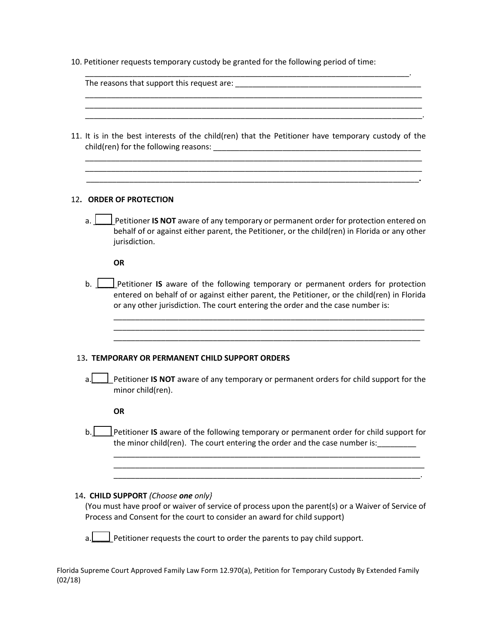10. Petitioner requests temporary custody be granted for the following period of time:

| The reasons that support this request are: The reasons of the control of the control of the control of the control of the control of the control of the control of the control of the control of the control of the control of |                                                                                                                                                                                                                                                                     |  |
|--------------------------------------------------------------------------------------------------------------------------------------------------------------------------------------------------------------------------------|---------------------------------------------------------------------------------------------------------------------------------------------------------------------------------------------------------------------------------------------------------------------|--|
|                                                                                                                                                                                                                                |                                                                                                                                                                                                                                                                     |  |
|                                                                                                                                                                                                                                |                                                                                                                                                                                                                                                                     |  |
|                                                                                                                                                                                                                                | 11. It is in the best interests of the child(ren) that the Petitioner have temporary custody of the                                                                                                                                                                 |  |
|                                                                                                                                                                                                                                |                                                                                                                                                                                                                                                                     |  |
| 12. ORDER OF PROTECTION                                                                                                                                                                                                        |                                                                                                                                                                                                                                                                     |  |
| a.                                                                                                                                                                                                                             | Petitioner <b>IS NOT</b> aware of any temporary or permanent order for protection entered on<br>behalf of or against either parent, the Petitioner, or the child(ren) in Florida or any other<br>jurisdiction.                                                      |  |
| <b>OR</b>                                                                                                                                                                                                                      |                                                                                                                                                                                                                                                                     |  |
| b.                                                                                                                                                                                                                             | Petitioner IS aware of the following temporary or permanent orders for protection<br>entered on behalf of or against either parent, the Petitioner, or the child(ren) in Florida<br>or any other jurisdiction. The court entering the order and the case number is: |  |
|                                                                                                                                                                                                                                |                                                                                                                                                                                                                                                                     |  |
|                                                                                                                                                                                                                                |                                                                                                                                                                                                                                                                     |  |
|                                                                                                                                                                                                                                | 13. TEMPORARY OR PERMANENT CHILD SUPPORT ORDERS                                                                                                                                                                                                                     |  |
| a.                                                                                                                                                                                                                             | Petitioner IS NOT aware of any temporary or permanent orders for child support for the<br>minor child(ren).                                                                                                                                                         |  |
| <b>OR</b>                                                                                                                                                                                                                      |                                                                                                                                                                                                                                                                     |  |
| b.                                                                                                                                                                                                                             | Petitioner IS aware of the following temporary or permanent order for child support for<br>the minor child(ren). The court entering the order and the case number is:                                                                                               |  |
|                                                                                                                                                                                                                                |                                                                                                                                                                                                                                                                     |  |
|                                                                                                                                                                                                                                | 14. CHILD SUPPORT (Choose one only)<br>(You must have proof or waiver of service of process upon the parent(s) or a Waiver of Service of<br>Process and Consent for the court to consider an award for child support)                                               |  |
|                                                                                                                                                                                                                                | Petitioner requests the court to order the parents to pay child support.                                                                                                                                                                                            |  |
|                                                                                                                                                                                                                                |                                                                                                                                                                                                                                                                     |  |
|                                                                                                                                                                                                                                |                                                                                                                                                                                                                                                                     |  |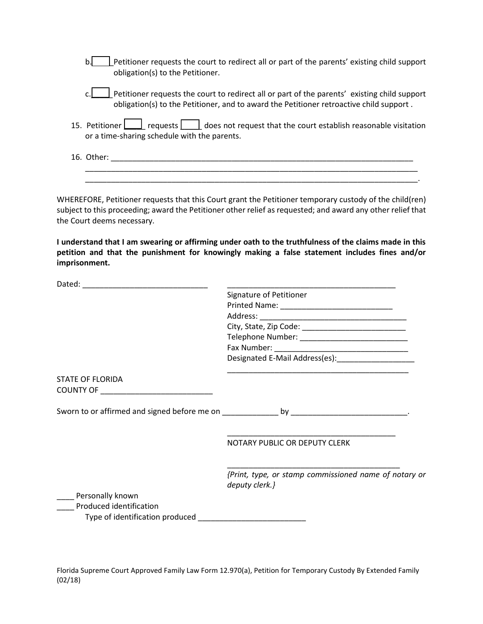|  | b. Petitioner requests the court to redirect all or part of the parents' existing child support |  |
|--|-------------------------------------------------------------------------------------------------|--|
|  | obligation(s) to the Petitioner.                                                                |  |

- c.**[** [11] Petitioner requests the court to redirect all or part of the parents' existing child support obligation(s) to the Petitioner, and to award the Petitioner retroactive child support .
- 15. Petitioner **Quangelian Content** does not request that the court establish reasonable visitation or a time-sharing schedule with the parents.
- 16. Other: \_\_\_\_\_\_\_\_\_\_\_\_\_\_\_\_\_\_\_\_\_\_\_\_\_\_\_\_\_\_\_\_\_\_\_\_\_\_\_\_\_\_\_\_\_\_\_\_\_\_\_\_\_\_\_\_\_\_\_\_\_\_\_\_\_\_\_\_\_\_ \_\_\_\_\_\_\_\_\_\_\_\_\_\_\_\_\_\_\_\_\_\_\_\_\_\_\_\_\_\_\_\_\_\_\_\_\_\_\_\_\_\_\_\_\_\_\_\_\_\_\_\_\_\_\_\_\_\_\_\_\_\_\_\_\_\_\_\_\_\_\_\_\_\_\_\_\_

\_\_\_\_\_\_\_\_\_\_\_\_\_\_\_\_\_\_\_\_\_\_\_\_\_\_\_\_\_\_\_\_\_\_\_\_\_\_\_\_\_\_\_\_\_\_\_\_\_\_\_\_\_\_\_\_\_\_\_\_\_\_\_\_\_\_\_\_\_\_\_\_\_\_\_\_\_.

 subject to this proceeding; award the Petitioner other relief as requested; and award any other relief that WHEREFORE, Petitioner requests that this Court grant the Petitioner temporary custody of the child(ren) the Court deems necessary.

 **I understand that I am swearing or affirming under oath to the truthfulness of the claims made in this petition and that the punishment for knowingly making a false statement includes fines and/or imprisonment.** 

|                                                                        | Signature of Petitioner                                                 |
|------------------------------------------------------------------------|-------------------------------------------------------------------------|
|                                                                        |                                                                         |
|                                                                        |                                                                         |
|                                                                        |                                                                         |
|                                                                        |                                                                         |
|                                                                        |                                                                         |
|                                                                        | Designated E-Mail Address(es): _______________________                  |
| <b>STATE OF FLORIDA</b><br>COUNTY OF _________________________________ |                                                                         |
|                                                                        |                                                                         |
|                                                                        | NOTARY PUBLIC OR DEPUTY CLERK                                           |
|                                                                        | {Print, type, or stamp commissioned name of notary or<br>deputy clerk.} |
| Personally known                                                       |                                                                         |
| Produced identification                                                |                                                                         |
|                                                                        |                                                                         |